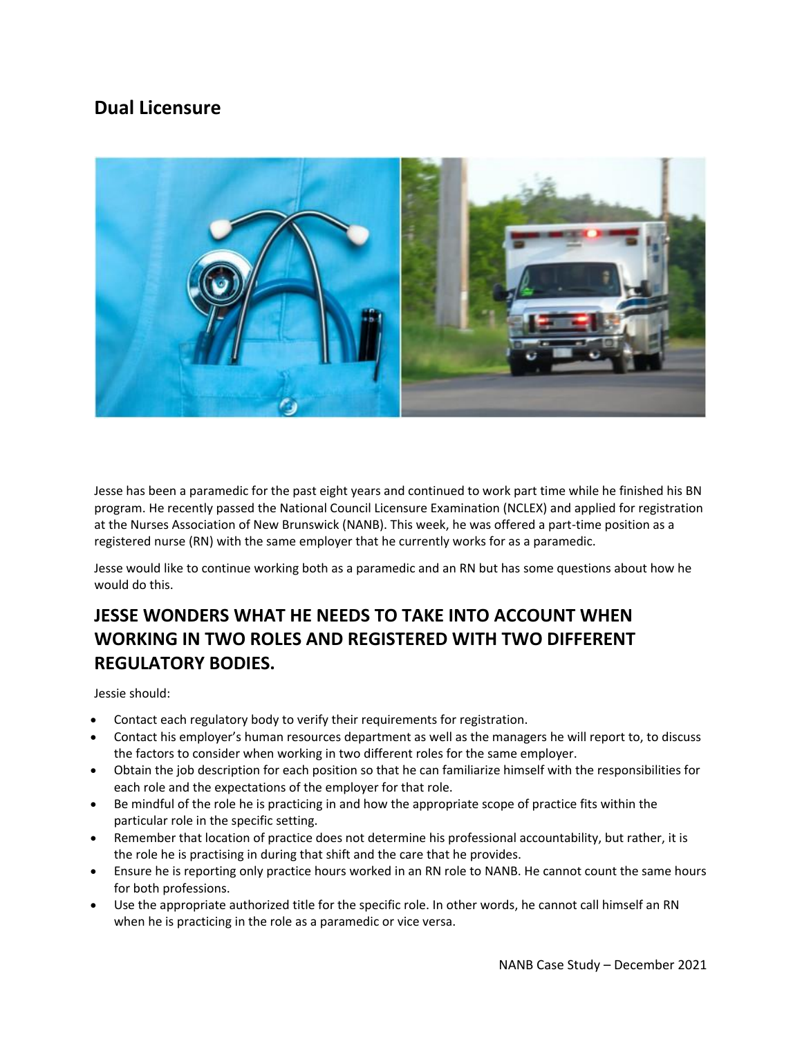## **Dual Licensure**



Jesse has been a paramedic for the past eight years and continued to work part time while he finished his BN program. He recently passed the National Council Licensure Examination (NCLEX) and applied for registration at the Nurses Association of New Brunswick (NANB). This week, he was offered a part-time position as a registered nurse (RN) with the same employer that he currently works for as a paramedic.

Jesse would like to continue working both as a paramedic and an RN but has some questions about how he would do this.

## **JESSE WONDERS WHAT HE NEEDS TO TAKE INTO ACCOUNT WHEN WORKING IN TWO ROLES AND REGISTERED WITH TWO DIFFERENT REGULATORY BODIES.**

Jessie should:

- Contact each regulatory body to verify their requirements for registration.
- Contact his employer's human resources department as well as the managers he will report to, to discuss the factors to consider when working in two different roles for the same employer.
- Obtain the job description for each position so that he can familiarize himself with the responsibilities for each role and the expectations of the employer for that role.
- Be mindful of the role he is practicing in and how the appropriate scope of practice fits within the particular role in the specific setting.
- Remember that location of practice does not determine his professional accountability, but rather, it is the role he is practising in during that shift and the care that he provides.
- Ensure he is reporting only practice hours worked in an RN role to NANB. He cannot count the same hours for both professions.
- Use the appropriate authorized title for the specific role. In other words, he cannot call himself an RN when he is practicing in the role as a paramedic or vice versa.